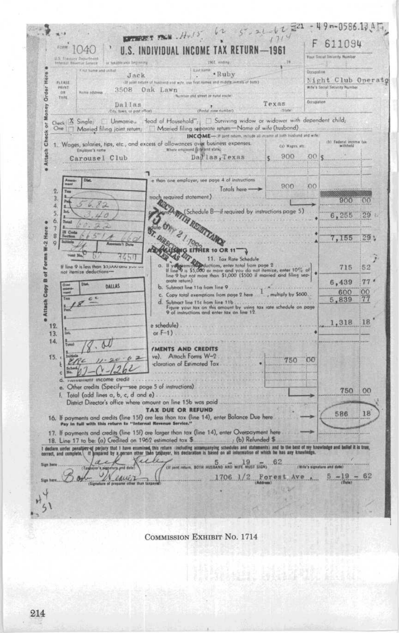$5 - x1 - 62 = 21 - 49 - 0586.1315$  $l2$ **EPTERET FROM . H.IS**  $1714$ 611094 **FITHM** 1040 U.S. INDIVIDUAL INCOME TAX RETURN  $-1961$ Your Smoral Security Number US 1ie 1961, anding or has able your businessing First hamp and initial. Lutame .Ruby **Occupabl** Here Jack Night Club Operatg mes and middle initials of buth) PLEASE (If your return of hun Order **PRINT** 3508 Oak Lawn With's Serial St W TYPE tus and street as rural soute **Occupation** Texas Dallas vney **CPostal zone dumber) Filter** City, fown, or post efficat. Check X Single: [ Unmanieu dead of Household"; [ ] Surviving widow or widower with dependent child; X One | Married filing joint return; | Married filing separate return-Name of wife (husband) ők INCOME-If post return, include all income of both husband and with (b) Federal income tax ã 1. Wages, salaries, tips, etc., and excess of allowances over business expenses. (a) Wages att. Attach  $$900$ Dallas, Texas than one employer,  $.00<sub>5</sub>$ Carousel Club than one employer, see page 4 of instructions  $900$  $200$  $T_{\text{other}}$  has  $\overline{Q}$  $\overline{3}$  $900$  $00$ À (Schedule B-if required by instructions page 5).  $5<sup>2</sup>$ 6,255  $29 -$ 6.  $\overline{7}$ Here **CALLAND CALLAND**  $\sqrt{8}$ 7,155  $29.1$ W-2  $\sigma$ Forms as N π 3450 11. Tax Rate Schedule If you can be a state of the state of the state of the state of the state of the state of the state of the state of the state of the state of the order of the state of the state of the state of the state of the state of th If line 9 is less than 33, AAV and your  $\overline{a}$  $52$ 715 B of  $77'$ 6,439 **DAILAS** Ъ. Subtract line 11a from line 9 **Attach Copy** Subhact line 11a from line 9<br>Copy total exemptions from page 2 here  $\frac{1}{2}$ , multiply by \$600. 600  $\overline{00}$ W.  $c$ 77 5,839 Subtract line 11c from line 11b.<br>Figure your tax on this amount by using tax rate schedule on page<br>9 of instructions and enter tax on line 12. đ. é 18 1,318 e schedule).  $12.$ or  $F-1$ ).  $13.$  $14.$ M **IMENTS AND CREDITS** ve). Attach Forms W-2.  $15.1$ 750  $001$  $\sim$ cloration of Estimated Tax Ł  $0 - 1262$ z income credit  $\overline{d}$ e. Other credits (Specify-see page 5 of instructions) 750  $00$ Total (add lines a, b, c, d and e) .....  $\mathbf{F}$ District Director's office where amount on line 15b was paid **TAX DUE OR REFUND** 18 16. If payments and credits (line 15f) are less than tax (line 14), enter Balance Due here Pay in tutt with this return to "Internal Revenue Service." 586 17. If payments and credits (line 15f) are larger than tax (line 14), enter Overpayment here 18. Line 17 to be: (a) Credited on 1962 estimated tox \$ (b) Refunded \$... I declare under penaltier of perjury that I have examined this reluxe including accompanying schedules and statements) and to the hest of my knowledge and belief it is true,<br>correct, and complete. If anyward by a gerson ot (If joint return, BOTH HUSBAND AND WIFE WOST SIGN) ... 62. citata's algorithms  $5 - 19$ equiz 1706 1/2 Forest Ave 62 4  $\mathbf{H}$  $51$ 

**COMMISSION EXHIBIT NO. 1714** 

Natur Har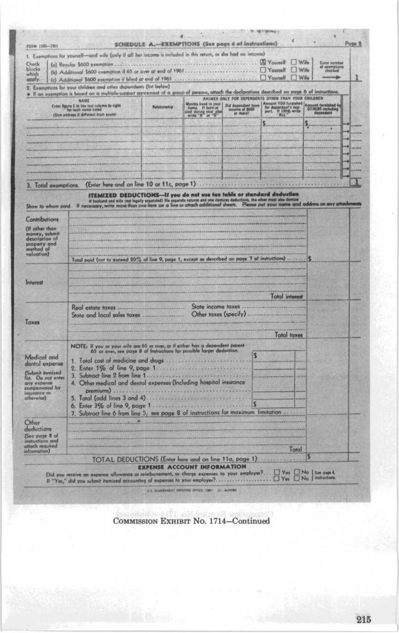|                                                                                                                                   | 1. Exemptions for yourself-and wife (only if all her income is included in this return, or she had no income)                                                                                                                  |                     |                                           |   |                                                                                                                                                                                                                                            |                                                                                  |                                          |  |
|-----------------------------------------------------------------------------------------------------------------------------------|--------------------------------------------------------------------------------------------------------------------------------------------------------------------------------------------------------------------------------|---------------------|-------------------------------------------|---|--------------------------------------------------------------------------------------------------------------------------------------------------------------------------------------------------------------------------------------------|----------------------------------------------------------------------------------|------------------------------------------|--|
| Chock<br>blocks<br>which<br>apply.                                                                                                | (b) Additional \$600 exemption if 65 or over at end of 1961                                                                                                                                                                    |                     |                                           |   | <b>M</b> Younell<br>. TYourself<br>Yourself                                                                                                                                                                                                | $W_{\text{dec}}$<br>Wife<br>$\n  Wile\n$                                         | <b>Enter</b> numi<br>example:<br>checked |  |
|                                                                                                                                   | 2. Examptions for your children and other dependents (list below)<br>. If an exemption is based on a multiple-support agreement of a group of persons, attach the declarations described on page 6 of instructions             |                     |                                           |   |                                                                                                                                                                                                                                            |                                                                                  |                                          |  |
|                                                                                                                                   | NAME                                                                                                                                                                                                                           |                     |                                           |   | ANSWER ONLY FOR DEPENDENTS OTHER THAN YOUR CHILDREN                                                                                                                                                                                        |                                                                                  |                                          |  |
|                                                                                                                                   | <b>Cober figure 1 in the lest column to right</b><br>for each name listed<br>clive address it different from yours).                                                                                                           | <b>Relationship</b> | died during year also<br>write '8 or 'D'' |   | Months Feed in your   Did dependent have   Amount YOU furmation   Alboration   Did dependent a sup-<br>  In dependent sup-<br>  In dependent sup-<br>  In this   In the second sup-<br>  In this   In the second state   In the second sup | <b>Imount furnished &amp;</b><br>OTHERS including<br><b><i><u>аврене</u></i></b> |                                          |  |
|                                                                                                                                   |                                                                                                                                                                                                                                |                     |                                           |   | s.                                                                                                                                                                                                                                         |                                                                                  |                                          |  |
|                                                                                                                                   |                                                                                                                                                                                                                                |                     |                                           |   |                                                                                                                                                                                                                                            |                                                                                  |                                          |  |
|                                                                                                                                   |                                                                                                                                                                                                                                |                     |                                           |   |                                                                                                                                                                                                                                            |                                                                                  |                                          |  |
|                                                                                                                                   |                                                                                                                                                                                                                                |                     |                                           |   |                                                                                                                                                                                                                                            |                                                                                  |                                          |  |
|                                                                                                                                   |                                                                                                                                                                                                                                |                     |                                           |   |                                                                                                                                                                                                                                            |                                                                                  |                                          |  |
|                                                                                                                                   | (Enter here and on line 10 or 11c, page 1)                                                                                                                                                                                     |                     |                                           |   |                                                                                                                                                                                                                                            |                                                                                  |                                          |  |
| 3. Total exemptions.                                                                                                              | ITEMIZED DEDUCTIONS-If you do not use fax table or standard deduction                                                                                                                                                          |                     |                                           |   |                                                                                                                                                                                                                                            |                                                                                  |                                          |  |
| Show to wham paid.                                                                                                                | If busband and wife (not legally segarated) file separate returns and one manices deductions, the other must also its minites in the secondary, write more than one item on a line or attach additional sheets. Please put you |                     |                                           |   |                                                                                                                                                                                                                                            |                                                                                  |                                          |  |
| <b>Contributions</b>                                                                                                              |                                                                                                                                                                                                                                |                     |                                           |   |                                                                                                                                                                                                                                            |                                                                                  |                                          |  |
| (If other than                                                                                                                    |                                                                                                                                                                                                                                |                     |                                           |   |                                                                                                                                                                                                                                            |                                                                                  |                                          |  |
| money, submit<br>description of                                                                                                   |                                                                                                                                                                                                                                |                     |                                           |   |                                                                                                                                                                                                                                            |                                                                                  |                                          |  |
| property and<br>method of                                                                                                         |                                                                                                                                                                                                                                |                     |                                           |   |                                                                                                                                                                                                                                            |                                                                                  |                                          |  |
|                                                                                                                                   |                                                                                                                                                                                                                                |                     |                                           |   |                                                                                                                                                                                                                                            |                                                                                  |                                          |  |
|                                                                                                                                   | Total paid (not to exceed 20% of line 9, page 1, except as described on page 7 of instructions)                                                                                                                                |                     |                                           |   |                                                                                                                                                                                                                                            |                                                                                  |                                          |  |
| valuation)                                                                                                                        |                                                                                                                                                                                                                                |                     |                                           |   |                                                                                                                                                                                                                                            |                                                                                  |                                          |  |
| Interest                                                                                                                          |                                                                                                                                                                                                                                |                     |                                           |   |                                                                                                                                                                                                                                            |                                                                                  |                                          |  |
|                                                                                                                                   |                                                                                                                                                                                                                                |                     |                                           |   |                                                                                                                                                                                                                                            |                                                                                  |                                          |  |
|                                                                                                                                   |                                                                                                                                                                                                                                |                     |                                           |   | <b>Total interest</b>                                                                                                                                                                                                                      |                                                                                  |                                          |  |
|                                                                                                                                   | State and local sales taxes                                                                                                                                                                                                    |                     | Other taxes (specify) -                   |   |                                                                                                                                                                                                                                            |                                                                                  |                                          |  |
|                                                                                                                                   |                                                                                                                                                                                                                                |                     |                                           |   |                                                                                                                                                                                                                                            |                                                                                  |                                          |  |
|                                                                                                                                   |                                                                                                                                                                                                                                |                     |                                           |   | <b>Total taxes</b>                                                                                                                                                                                                                         |                                                                                  |                                          |  |
|                                                                                                                                   |                                                                                                                                                                                                                                |                     |                                           |   |                                                                                                                                                                                                                                            |                                                                                  |                                          |  |
|                                                                                                                                   | NOTE: If you ar your wife are 65 or over, or if either has a dependent parent 65 or over, see page 8 of instructions for possible larger deduction.                                                                            |                     |                                           | s |                                                                                                                                                                                                                                            |                                                                                  |                                          |  |
|                                                                                                                                   |                                                                                                                                                                                                                                |                     |                                           |   |                                                                                                                                                                                                                                            |                                                                                  |                                          |  |
|                                                                                                                                   | 4. Other medical and dental expenses (Including hospital insurance                                                                                                                                                             |                     |                                           |   |                                                                                                                                                                                                                                            |                                                                                  |                                          |  |
| Taxes<br>Medical and<br>dental expense<br>(Submit itemized<br>list. Do not enter<br>any expense<br>compensated by<br>insurance or |                                                                                                                                                                                                                                |                     |                                           |   |                                                                                                                                                                                                                                            |                                                                                  |                                          |  |
|                                                                                                                                   |                                                                                                                                                                                                                                |                     |                                           |   |                                                                                                                                                                                                                                            |                                                                                  |                                          |  |
|                                                                                                                                   | Subtract line 6 from line 5; see page 8 of instructions for maximum limitation<br>т.                                                                                                                                           |                     |                                           |   |                                                                                                                                                                                                                                            |                                                                                  |                                          |  |
| otherwise)<br>Other<br>deductions                                                                                                 |                                                                                                                                                                                                                                |                     |                                           |   |                                                                                                                                                                                                                                            |                                                                                  |                                          |  |
|                                                                                                                                   |                                                                                                                                                                                                                                |                     |                                           |   |                                                                                                                                                                                                                                            |                                                                                  |                                          |  |
|                                                                                                                                   |                                                                                                                                                                                                                                |                     |                                           |   | Total                                                                                                                                                                                                                                      |                                                                                  |                                          |  |
| (See page 8 of<br>instructions and<br>beriupst docto<br>information)                                                              | TOTAL DEDUCTIONS (Enter here and on line 11a, page 1)                                                                                                                                                                          |                     | <b>EXPENSE ACCOUNT INFORMATION</b>        |   |                                                                                                                                                                                                                                            |                                                                                  |                                          |  |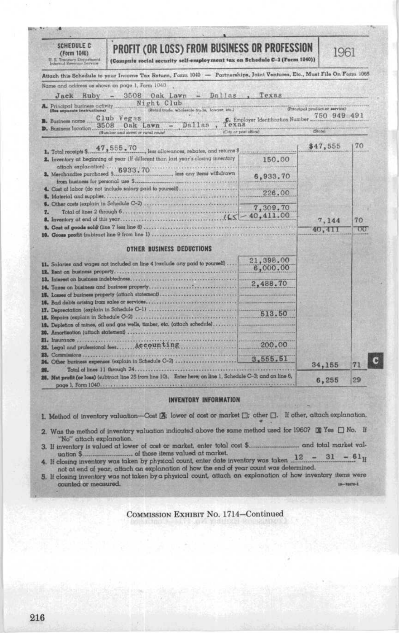| Name and address as shown on page 1, Form 1040<br>$Jack$ $Ruby -$<br>A. Principal business activity<br>See separate instructions)<br><b>B.</b> Business name<br>3508<br>D. Business location.<br>1. Total receipts \$.<br>attach explanation) 6933.70<br>3. Merchandise purchased \$.<br>from business for personal use \$ | Attach this Schedule to your Income Tax Return, Form 1040 - Partnerships, Joint Ventures, Etc., Must File On Form 1065<br>3508 Oak Lawn - Dallas, Texas<br>Night Club<br>(Retail trade, wholesale trade, lowyer, etc.)<br>Club Vegas<br>Dallas<br>Oak Lawn<br>(City or post office)<br>(Number and street or rural route)<br>47,555,70<br>less allowances, rebutes, and returns \$<br>2. Inventory at beginning of year (if different than lost year's closing inventory<br>less any items withdrawn | C. Employer Identification Number.<br>150.00 | (Principal product or service)<br>750 949 491<br>$t$ Stotel<br>\$47,555 | 70 |
|----------------------------------------------------------------------------------------------------------------------------------------------------------------------------------------------------------------------------------------------------------------------------------------------------------------------------|------------------------------------------------------------------------------------------------------------------------------------------------------------------------------------------------------------------------------------------------------------------------------------------------------------------------------------------------------------------------------------------------------------------------------------------------------------------------------------------------------|----------------------------------------------|-------------------------------------------------------------------------|----|
|                                                                                                                                                                                                                                                                                                                            |                                                                                                                                                                                                                                                                                                                                                                                                                                                                                                      |                                              |                                                                         |    |
|                                                                                                                                                                                                                                                                                                                            |                                                                                                                                                                                                                                                                                                                                                                                                                                                                                                      |                                              |                                                                         |    |
|                                                                                                                                                                                                                                                                                                                            |                                                                                                                                                                                                                                                                                                                                                                                                                                                                                                      |                                              |                                                                         |    |
|                                                                                                                                                                                                                                                                                                                            |                                                                                                                                                                                                                                                                                                                                                                                                                                                                                                      |                                              |                                                                         |    |
|                                                                                                                                                                                                                                                                                                                            |                                                                                                                                                                                                                                                                                                                                                                                                                                                                                                      |                                              |                                                                         |    |
|                                                                                                                                                                                                                                                                                                                            |                                                                                                                                                                                                                                                                                                                                                                                                                                                                                                      |                                              |                                                                         |    |
|                                                                                                                                                                                                                                                                                                                            |                                                                                                                                                                                                                                                                                                                                                                                                                                                                                                      |                                              |                                                                         |    |
|                                                                                                                                                                                                                                                                                                                            |                                                                                                                                                                                                                                                                                                                                                                                                                                                                                                      |                                              |                                                                         |    |
|                                                                                                                                                                                                                                                                                                                            |                                                                                                                                                                                                                                                                                                                                                                                                                                                                                                      |                                              |                                                                         |    |
|                                                                                                                                                                                                                                                                                                                            |                                                                                                                                                                                                                                                                                                                                                                                                                                                                                                      |                                              |                                                                         |    |
|                                                                                                                                                                                                                                                                                                                            |                                                                                                                                                                                                                                                                                                                                                                                                                                                                                                      |                                              |                                                                         |    |
|                                                                                                                                                                                                                                                                                                                            |                                                                                                                                                                                                                                                                                                                                                                                                                                                                                                      | 6,933.70                                     |                                                                         |    |
|                                                                                                                                                                                                                                                                                                                            | 4. Cost of labor (do not include salary paid to yourself)                                                                                                                                                                                                                                                                                                                                                                                                                                            |                                              |                                                                         |    |
|                                                                                                                                                                                                                                                                                                                            |                                                                                                                                                                                                                                                                                                                                                                                                                                                                                                      | 226.00                                       |                                                                         |    |
|                                                                                                                                                                                                                                                                                                                            |                                                                                                                                                                                                                                                                                                                                                                                                                                                                                                      | 7,309.70                                     |                                                                         |    |
| z.                                                                                                                                                                                                                                                                                                                         |                                                                                                                                                                                                                                                                                                                                                                                                                                                                                                      |                                              |                                                                         |    |
|                                                                                                                                                                                                                                                                                                                            |                                                                                                                                                                                                                                                                                                                                                                                                                                                                                                      |                                              | 7,144                                                                   | 70 |
|                                                                                                                                                                                                                                                                                                                            |                                                                                                                                                                                                                                                                                                                                                                                                                                                                                                      |                                              | 40,411                                                                  | 00 |
|                                                                                                                                                                                                                                                                                                                            |                                                                                                                                                                                                                                                                                                                                                                                                                                                                                                      |                                              |                                                                         |    |
|                                                                                                                                                                                                                                                                                                                            | <b>OTHER BUSINESS DEDUCTIONS</b>                                                                                                                                                                                                                                                                                                                                                                                                                                                                     |                                              |                                                                         |    |
|                                                                                                                                                                                                                                                                                                                            | 11. Salartes and wages not included on line 4 (exclude any paid to yourself)                                                                                                                                                                                                                                                                                                                                                                                                                         | 21,398.00                                    |                                                                         |    |
|                                                                                                                                                                                                                                                                                                                            | 12. Rent on business property.                                                                                                                                                                                                                                                                                                                                                                                                                                                                       | 6,000.00                                     |                                                                         |    |
|                                                                                                                                                                                                                                                                                                                            |                                                                                                                                                                                                                                                                                                                                                                                                                                                                                                      | 2.488.70                                     |                                                                         |    |
|                                                                                                                                                                                                                                                                                                                            |                                                                                                                                                                                                                                                                                                                                                                                                                                                                                                      |                                              |                                                                         |    |
|                                                                                                                                                                                                                                                                                                                            |                                                                                                                                                                                                                                                                                                                                                                                                                                                                                                      |                                              |                                                                         |    |
|                                                                                                                                                                                                                                                                                                                            |                                                                                                                                                                                                                                                                                                                                                                                                                                                                                                      |                                              |                                                                         |    |
|                                                                                                                                                                                                                                                                                                                            |                                                                                                                                                                                                                                                                                                                                                                                                                                                                                                      | 513.50                                       |                                                                         |    |
|                                                                                                                                                                                                                                                                                                                            | 19. Depletion of mines, cil and gas wells, timber, etc. (attach schedule)                                                                                                                                                                                                                                                                                                                                                                                                                            |                                              |                                                                         |    |
|                                                                                                                                                                                                                                                                                                                            |                                                                                                                                                                                                                                                                                                                                                                                                                                                                                                      |                                              |                                                                         |    |
| 21. Insurance                                                                                                                                                                                                                                                                                                              |                                                                                                                                                                                                                                                                                                                                                                                                                                                                                                      |                                              |                                                                         |    |
|                                                                                                                                                                                                                                                                                                                            | 22. Legal and professional fees Accounting                                                                                                                                                                                                                                                                                                                                                                                                                                                           | 200.00                                       |                                                                         |    |
| 23. Commissions                                                                                                                                                                                                                                                                                                            |                                                                                                                                                                                                                                                                                                                                                                                                                                                                                                      | 3,555,51                                     |                                                                         |    |
|                                                                                                                                                                                                                                                                                                                            | 24. Other business expenses (explain in Schedule C-2)                                                                                                                                                                                                                                                                                                                                                                                                                                                |                                              | 34,155                                                                  | 71 |
| Total of lines 11 through 24.                                                                                                                                                                                                                                                                                              |                                                                                                                                                                                                                                                                                                                                                                                                                                                                                                      |                                              |                                                                         |    |
|                                                                                                                                                                                                                                                                                                                            | 26. Net profit (or loss) (subtroct line 25 from line 10). Enter here; on line 1, Schedule C-3; and on line 6,                                                                                                                                                                                                                                                                                                                                                                                        |                                              | 6,255                                                                   | 29 |
|                                                                                                                                                                                                                                                                                                                            |                                                                                                                                                                                                                                                                                                                                                                                                                                                                                                      |                                              |                                                                         |    |
|                                                                                                                                                                                                                                                                                                                            | <b>INVENTORY INFORMATION</b>                                                                                                                                                                                                                                                                                                                                                                                                                                                                         |                                              |                                                                         |    |
|                                                                                                                                                                                                                                                                                                                            |                                                                                                                                                                                                                                                                                                                                                                                                                                                                                                      |                                              |                                                                         |    |

- "No" attach explanation. 3. If inventory is valued at lower of cost or market, enter total cost \$... . and total market val-
- uation \$ uation 3<br>
4. If closing inventory was taken by physical count, enter date inventory was taken  $12 - 31 - 61$ <br>
in the end of year, attach an explanation of how the end of year count was determined.<br>
5. If closing inventory w  $- 61$ <sub>If</sub>
- counted or measured. 18-78070-1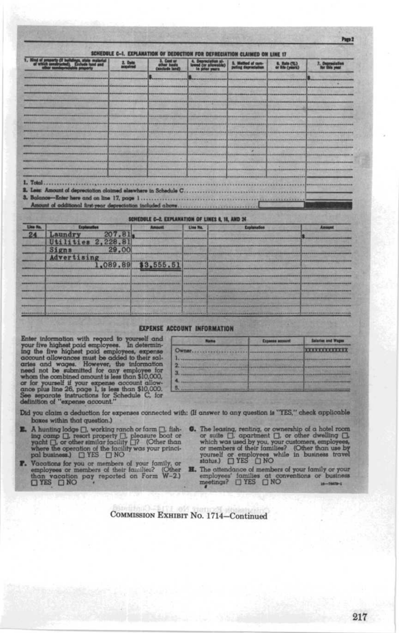|                            |                                                              | 2. Date<br>acquired |                     | 4. Depreciation al-                              |             | 6. Ratio (%)<br>or life (years) |        |
|----------------------------|--------------------------------------------------------------|---------------------|---------------------|--------------------------------------------------|-------------|---------------------------------|--------|
|                            |                                                              |                     |                     | <b>Not weers</b>                                 |             |                                 |        |
|                            |                                                              |                     |                     |                                                  |             |                                 |        |
|                            |                                                              |                     |                     |                                                  |             |                                 |        |
|                            |                                                              |                     |                     |                                                  |             |                                 |        |
|                            |                                                              |                     |                     |                                                  |             |                                 |        |
|                            |                                                              |                     |                     |                                                  |             |                                 |        |
|                            |                                                              |                     |                     |                                                  |             |                                 |        |
|                            |                                                              |                     |                     |                                                  |             |                                 |        |
|                            |                                                              |                     |                     |                                                  |             |                                 |        |
|                            |                                                              |                     |                     |                                                  |             |                                 |        |
|                            |                                                              |                     |                     |                                                  |             |                                 |        |
|                            |                                                              |                     |                     |                                                  |             |                                 |        |
|                            |                                                              |                     |                     |                                                  |             |                                 |        |
|                            |                                                              |                     |                     |                                                  |             |                                 |        |
|                            |                                                              |                     |                     |                                                  |             |                                 |        |
|                            |                                                              |                     |                     |                                                  |             |                                 |        |
|                            |                                                              |                     |                     |                                                  |             |                                 |        |
|                            | Less: Amount of depreciation claimed elsewhere in Schedule C |                     |                     |                                                  |             |                                 |        |
|                            | 3. Balance-Enter here and on line 17, page 1                 |                     |                     |                                                  |             |                                 |        |
|                            | Amount of additional first-year depreciation included above. |                     |                     |                                                  |             |                                 |        |
|                            |                                                              |                     |                     | SCHEDULE C-2. EXPLANATION OF LINES 6, 16, AND 24 |             |                                 |        |
|                            | Explanation                                                  |                     | Amsunt              | Line No.                                         | Explanation |                                 | Amount |
|                            | Laundry                                                      | 207.81              |                     |                                                  |             |                                 |        |
|                            | Utilities                                                    |                     |                     |                                                  |             |                                 |        |
|                            | Signs                                                        | 2,228.81<br>29,00   |                     |                                                  |             |                                 |        |
| 1. Total<br>Line No.<br>24 | Advertising                                                  |                     | 1,089.89 \$3,555.51 |                                                  |             |                                 |        |

## **EXPENSE ACCOUNT INFORMATION**

External your five highest paid employees. In determining the five highest paid employees. In determining the five highest paid employees, expense account allowances must be added to their salaries and wages. However, the

|        | <b>BEESSIE</b>                                                   |  |
|--------|------------------------------------------------------------------|--|
| Chinaz | --                                                               |  |
|        |                                                                  |  |
| _      |                                                                  |  |
|        |                                                                  |  |
|        | 医正体的 的复数形式计划 计数字文 电视光区 计数据文件 医皮革性白细胞性神经细胞 建环己烷 化二进制装置 人名英格兰克 医海绵 |  |

Did you claim a deduction for expenses connected with: (If answer to any question is "YES," check applicable boxes within that question.)

- **E.** A hunting lodge  $\Box$  working ranch or farm  $\Box$  , fishing comp $\Box$  , resort property  $\Box$  , pleasure boot or yeaht  $\Box$  or other similar facility  $\Box$ ? (Other than where the operation of the facility was your princip
- Vocations for you or members of your family, or<br>employees or members of their families? (Other than vocation pay reported on Form W-2)<br> $\Box$  YES  $\Box$  NO P.
- **6.** The leasing, renting, or ownership of a hotel room or suite  $\Box$  apartment  $\Box$  or other dwelling  $\Box$  which was used by you, your customers, employees, or members of their families? (Other than use by yourself or em
	- **H.** The ottendance of members of your family or your employees' families at conventions or business meetings?  $\Box$  YES  $\Box$  NO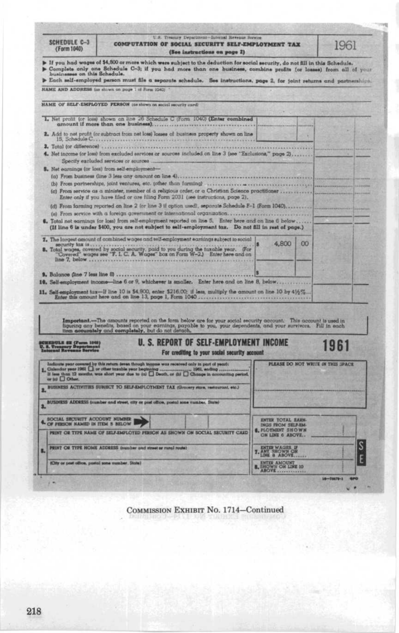| SCHEDULE C-3<br>(Form 1040)                      | U.S. Treasury Department-Internal Bevenue Service<br>COMPUTATION OF SOCIAL SECURITY SELF-EMPLOYMENT TAX<br>(See instructions on page 2)                                                                                                                                                                                                                                                              |                                                                               | 1961 |
|--------------------------------------------------|------------------------------------------------------------------------------------------------------------------------------------------------------------------------------------------------------------------------------------------------------------------------------------------------------------------------------------------------------------------------------------------------------|-------------------------------------------------------------------------------|------|
|                                                  | If you had wages of \$4,800 or more which were subject to the deduction for social security, do not fill in this Schedule.<br>Complete only one Schedule C-3; if you had more than one business, combine profits (or losses) from all of your businesses on this Schedule.<br>Each self-employed person must file a separate schedule. See instructions, page 2, for joint returns and partnerships. |                                                                               |      |
|                                                  | NAME AND ADDRESS (as shown on page 1 of Form (G40)                                                                                                                                                                                                                                                                                                                                                   |                                                                               |      |
|                                                  | NAME OF SELF-EMPLOYED PERSON (as shown on social security card)                                                                                                                                                                                                                                                                                                                                      |                                                                               |      |
|                                                  | 1. Net profit (or loss) shown on line 26 Schedule C (Form 1040) (Enter combined                                                                                                                                                                                                                                                                                                                      |                                                                               |      |
|                                                  | amount if more than one business)                                                                                                                                                                                                                                                                                                                                                                    |                                                                               |      |
| 15. Schedule C                                   | 2. Add to not profit (or subtract from not loss) losses of business property shown on line<br><b>********************</b>                                                                                                                                                                                                                                                                            |                                                                               |      |
|                                                  | 3. Total (or difference)<br>4. Net income (or loss) from excluded services or sources included on line 3 (see "Exclusions," page 2)<br>Specify excluded services or sources                                                                                                                                                                                                                          |                                                                               |      |
|                                                  | 5. Net earnings (or loss) from self-employment-                                                                                                                                                                                                                                                                                                                                                      |                                                                               |      |
|                                                  | (a) From business (line 3 less any amount on line 4)                                                                                                                                                                                                                                                                                                                                                 |                                                                               |      |
|                                                  | (b) From partnerships, joint ventures, etc. (other than farming)<br>(c) Prom service as a minister, member of a religious order, or a Christian Science practitioner<br>Enter only if you have filed or are filing Form 2031 (see instructions, page 2).                                                                                                                                             |                                                                               |      |
|                                                  | (d) From farming reported on line 2 (or line 3 if option used), separate Schedule F-1 (Form 1040)                                                                                                                                                                                                                                                                                                    |                                                                               |      |
|                                                  | (e) From service with a foreign government or international organization<br>6. Total not earnings (or loss) from self-employment reported on line S. Enter here and on line 6 below                                                                                                                                                                                                                  |                                                                               |      |
|                                                  | (If line 6 is under \$400, you are not subject to self-employment tax. Do not fill in rest of page.)                                                                                                                                                                                                                                                                                                 |                                                                               |      |
|                                                  |                                                                                                                                                                                                                                                                                                                                                                                                      |                                                                               |      |
|                                                  | 7. The largest amount of combined wages and self-employment earnings subject to social                                                                                                                                                                                                                                                                                                               |                                                                               |      |
|                                                  |                                                                                                                                                                                                                                                                                                                                                                                                      | 4,800<br>O <sub>O</sub>                                                       |      |
| line 7, below                                    | B. Total wages, covered by social security, paid to you during the tuxable year. (For "Covered" wages see "F. I. C. A. Wages" box on Form W-2.) Enter here and on                                                                                                                                                                                                                                    |                                                                               |      |
|                                                  |                                                                                                                                                                                                                                                                                                                                                                                                      |                                                                               |      |
|                                                  | 10. Self-employment income-line 6 or 9, whichever is smaller. Enter here and on line 8, below                                                                                                                                                                                                                                                                                                        |                                                                               |      |
|                                                  |                                                                                                                                                                                                                                                                                                                                                                                                      |                                                                               |      |
| 9. Balance (line 7 less line 8)                  |                                                                                                                                                                                                                                                                                                                                                                                                      |                                                                               |      |
|                                                  |                                                                                                                                                                                                                                                                                                                                                                                                      |                                                                               |      |
|                                                  | Important.-The amounts reported on the form below are for your social security account. This account is used in                                                                                                                                                                                                                                                                                      |                                                                               |      |
|                                                  | figuring any benefits, based on your earnings, payable to you, your dependents, and your survivors. Fill in each                                                                                                                                                                                                                                                                                     |                                                                               |      |
|                                                  | <b>U. S. REPORT OF SELF-EMPLOYMENT INCOME</b>                                                                                                                                                                                                                                                                                                                                                        |                                                                               | 1961 |
|                                                  | For crediting to your social security account                                                                                                                                                                                                                                                                                                                                                        | PLEASE DO NOT WRITE IN THIS SPACE                                             |      |
|                                                  | sting period.                                                                                                                                                                                                                                                                                                                                                                                        |                                                                               |      |
|                                                  |                                                                                                                                                                                                                                                                                                                                                                                                      |                                                                               |      |
|                                                  | BUSINESS ACTIVITIES SUBJECT TO SELF-EMPLOYMENT TAX (Grocery store, restourant, etc.)                                                                                                                                                                                                                                                                                                                 |                                                                               |      |
| 2.<br>ä.                                         | BUSINESS ADDRESS (number and street, city or post office, postal sone number, State)                                                                                                                                                                                                                                                                                                                 |                                                                               |      |
| SOCIAL SECURITY ACCOUNT NUMBER                   |                                                                                                                                                                                                                                                                                                                                                                                                      | ENTER TOTAL EARN-                                                             |      |
| 4. OF PRESCH NAMED IN ITEM 5 BELOW               | PEINT OR TTPE NAME OF SELF-EMPLOYED PERSON AS SHOWN ON SOCIAL SECURITY CARD                                                                                                                                                                                                                                                                                                                          | INGS FROM SELF-EM-<br><b>6. PLOTHENT SHOWN</b><br>ON LINE 6 ABOVE             |      |
| E.                                               | PRINT OR TYPE HOME ADDRESS (number and street or runs) route)                                                                                                                                                                                                                                                                                                                                        |                                                                               |      |
| (City or post office, postal sons number, State) |                                                                                                                                                                                                                                                                                                                                                                                                      | <b>T.</b> ANY SHOWN ON<br><b>B. ENTER AMOUNT</b><br><b>B. HOWN ON LINE 10</b> |      |